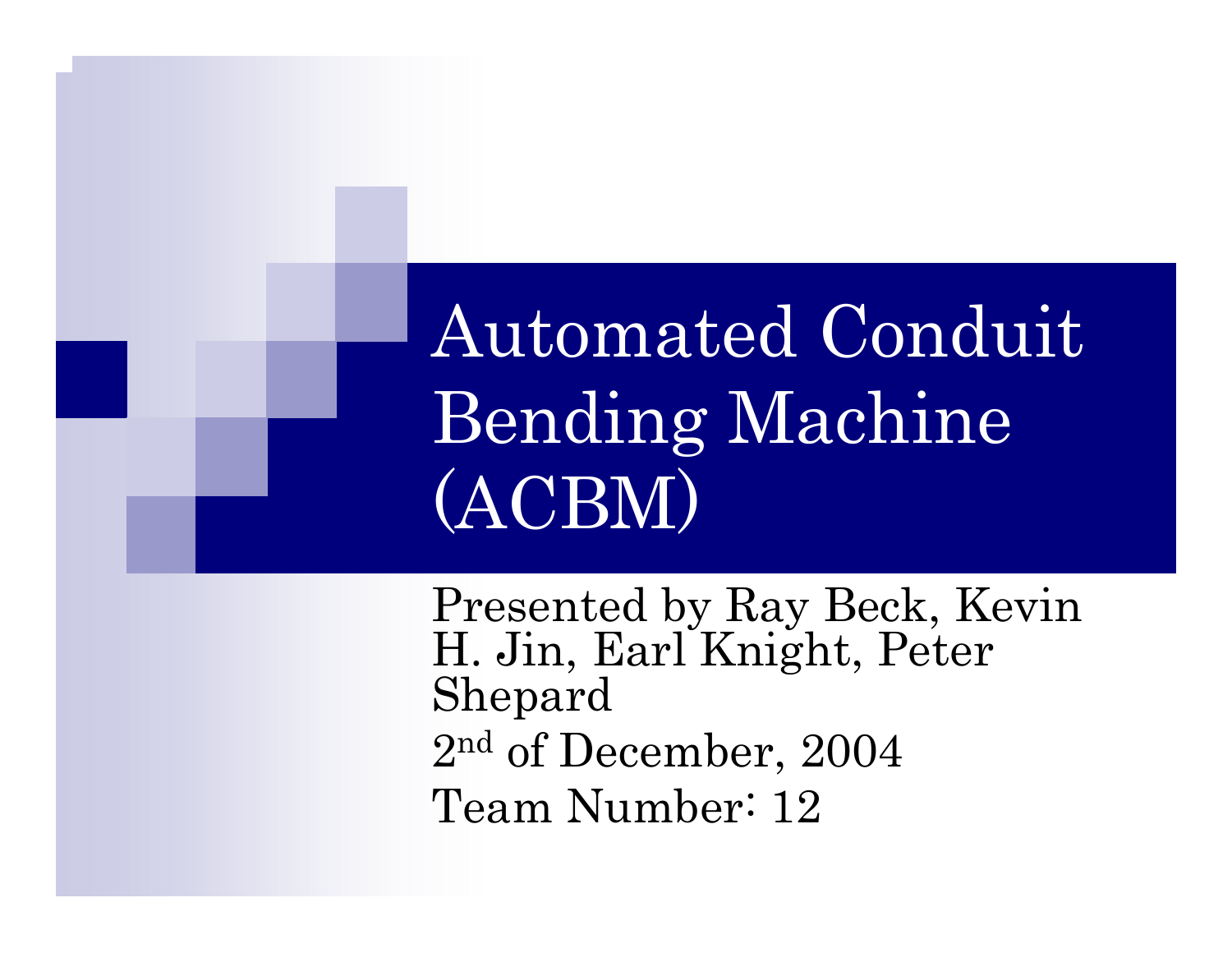Automated Conduit Bending Machine (ACBM)

Presented by Ray Beck, Kevin H. Jin, Earl Knight, Peter Shepard 2n<sup>d</sup> of December, 2004 Team Number: 12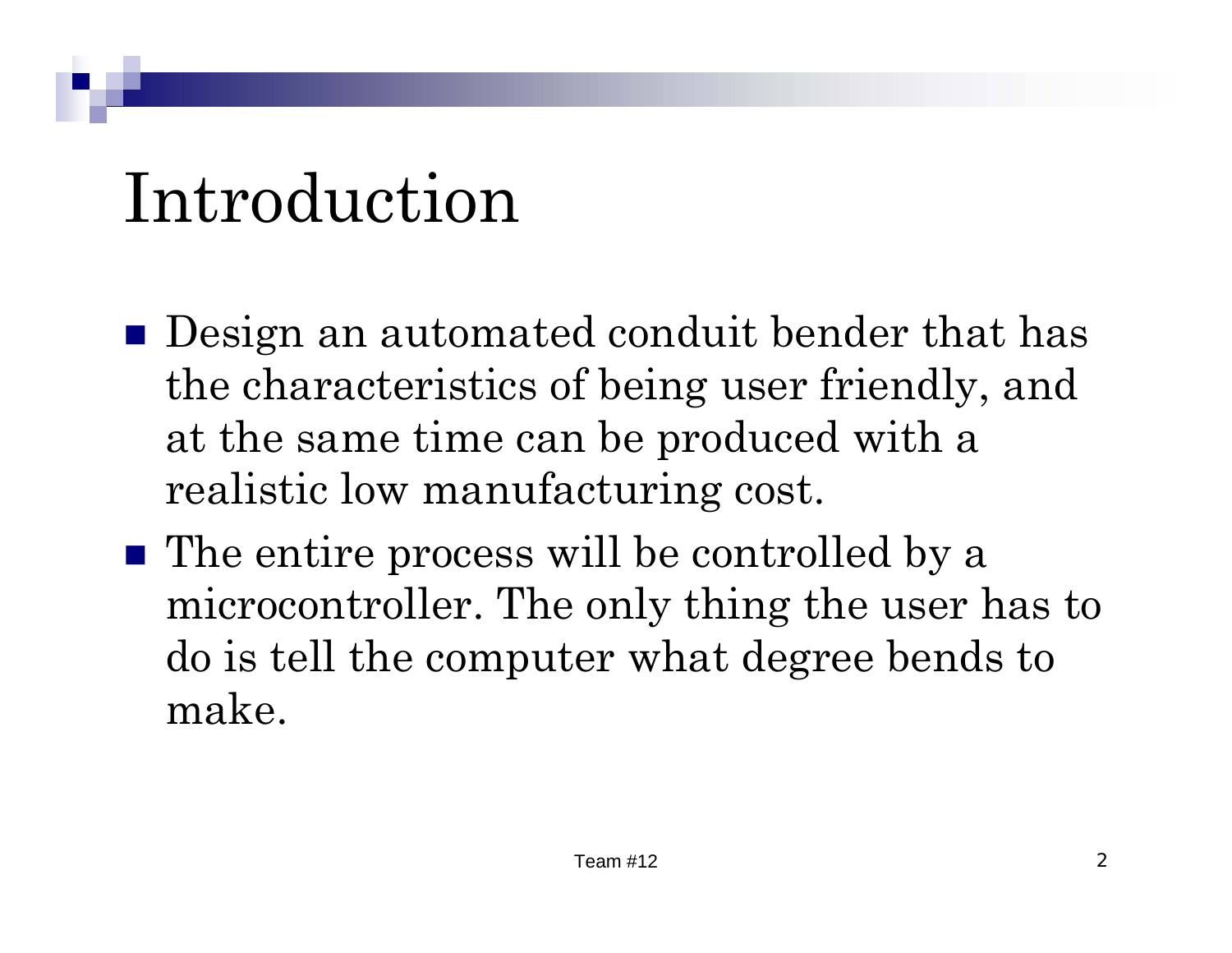## Introduction

- **Design an automated conduit bender that has** the characteristics of being user friendly, and at the same time can be produced with a realistic low manufacturing cost.
- The entire process will be controlled by a microcontroller. The only thing the user has to do is tell the computer what degree bends to make.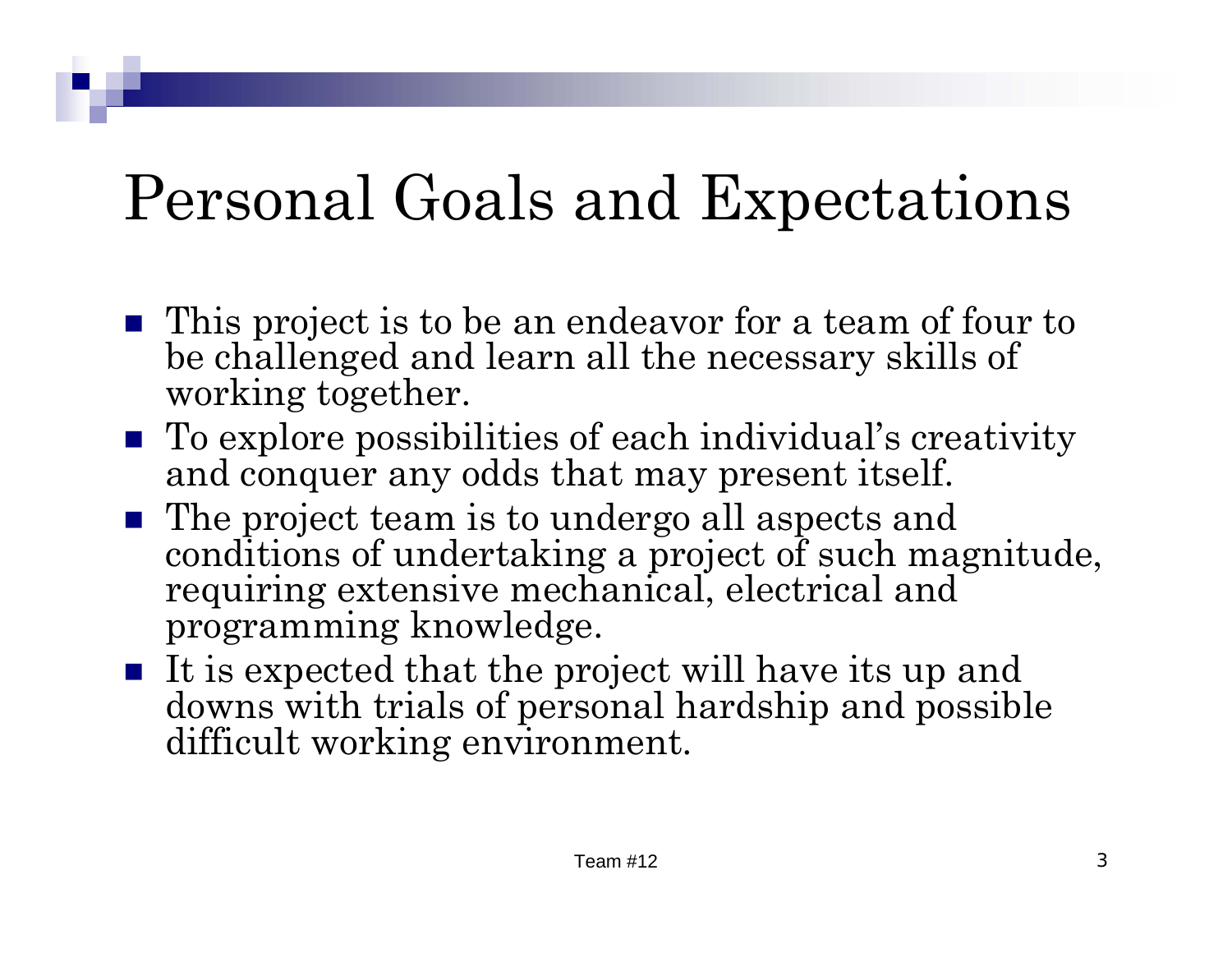#### Personal Goals and Expectations

- This project is to be an endeavor for a team of four to be challenged and learn all the necessary skills of working together.
- To explore possibilities of each individual's creativity and conquer any odds that may present itself.
- The project team is to undergo all aspects and conditions of undertaking a project of such magnitude, requiring extensive mechanical, electrical and programming knowledge.
- It is expected that the project will have its up and downs with trials of personal hardship and possible difficult working environment.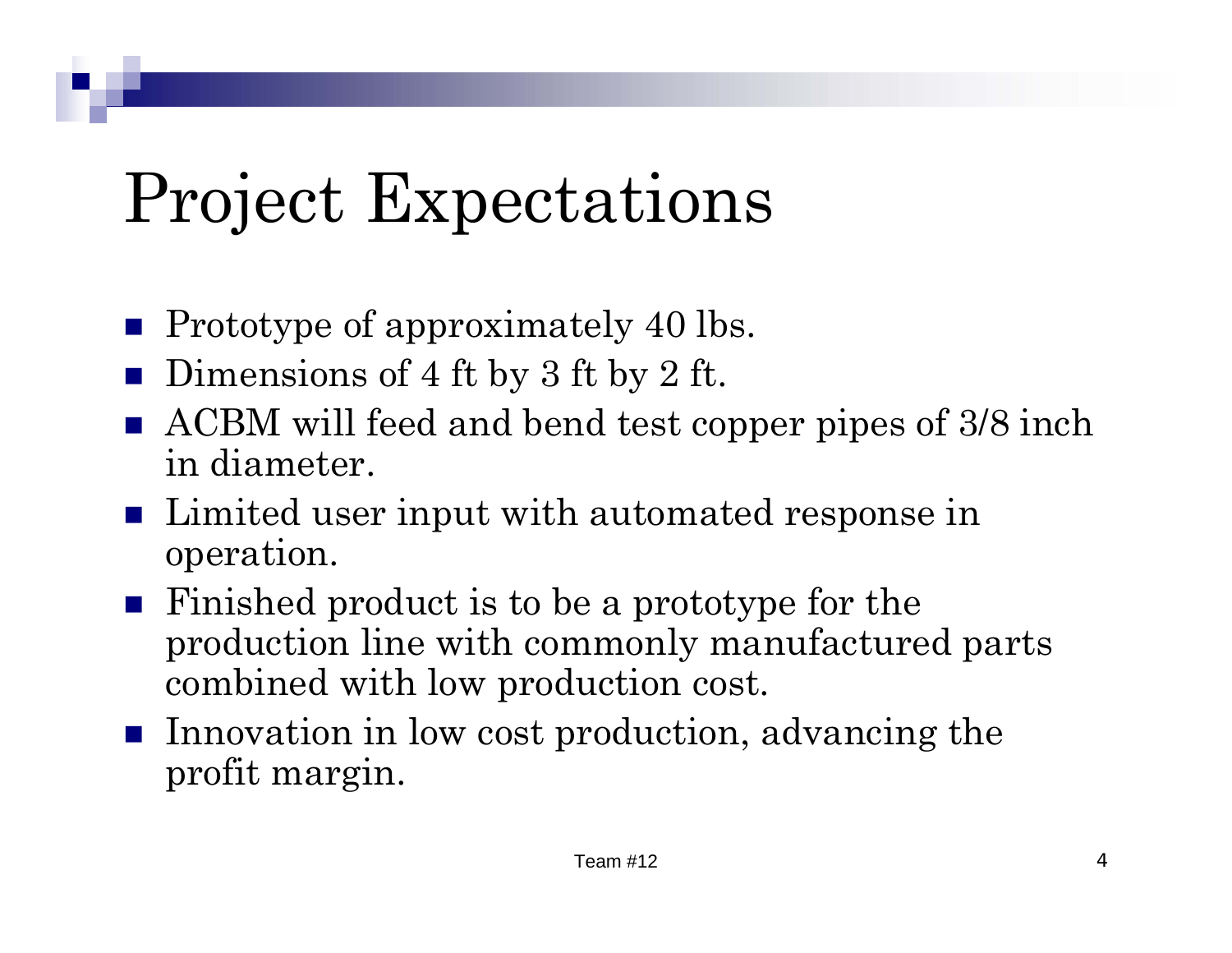## Project Expectations

- $\mathbb{R}^2$ Prototype of approximately 40 lbs.
- $\mathbb{R}^2$ Dimensions of 4 ft by 3 ft by 2 ft.
- p. ACBM will feed and bend test copper pipes of 3/8 inch in diameter.
- **Limited user input with automated response in** operation.
- Finished product is to be a prototype for the production line with commonly manufactured parts combined with low production cost.
- **Innovation in low cost production, advancing the** profit margin.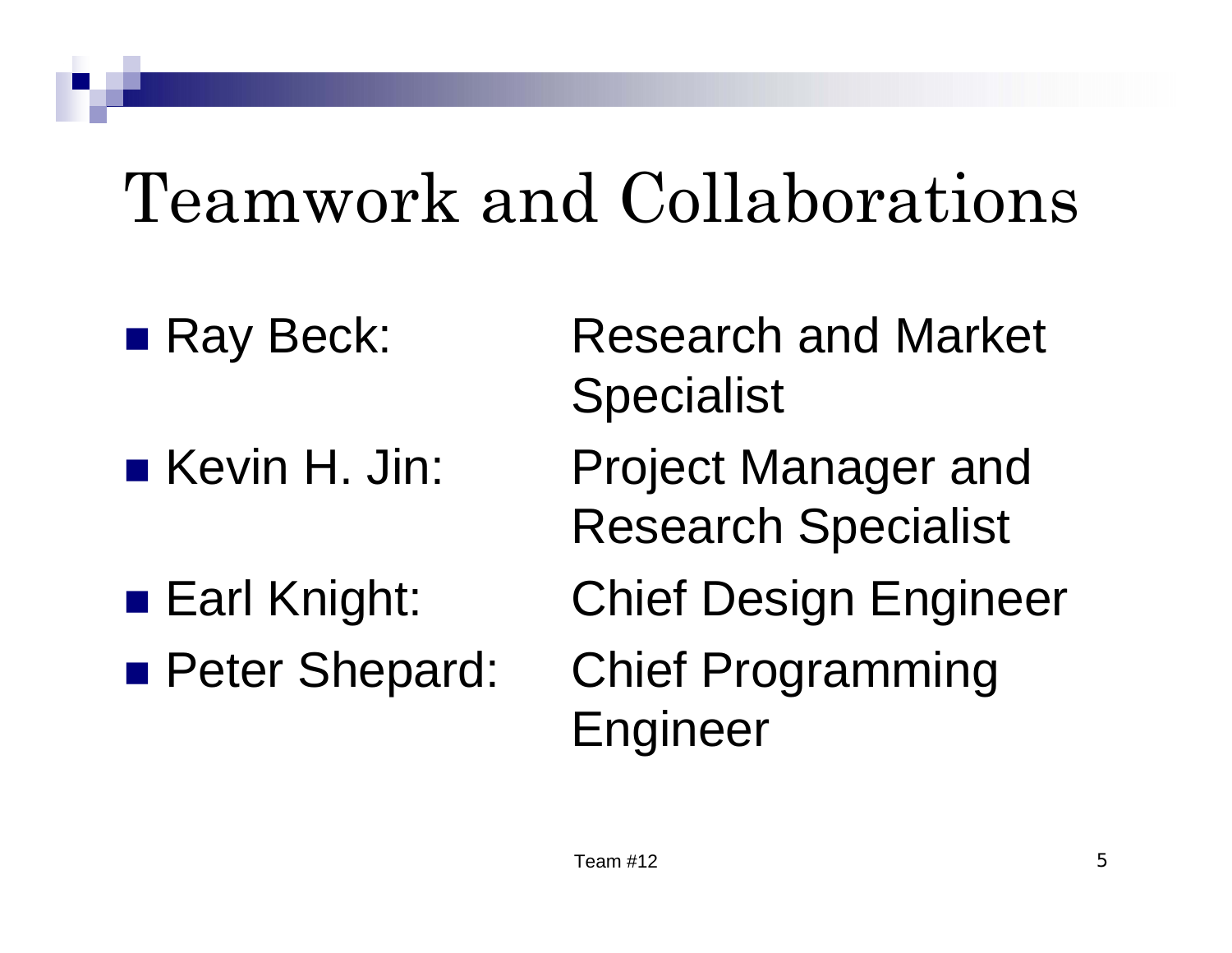### Teamwork and Collaborations

- Ray Beck:
- Kevin H. Jin:
- Earl Knight: **Peter Shepard:**
- Research and Market **Specialist**
- **Project Manager and** Research Specialist
- **Chief Design Engineer**
- **Chief Programming** Engineer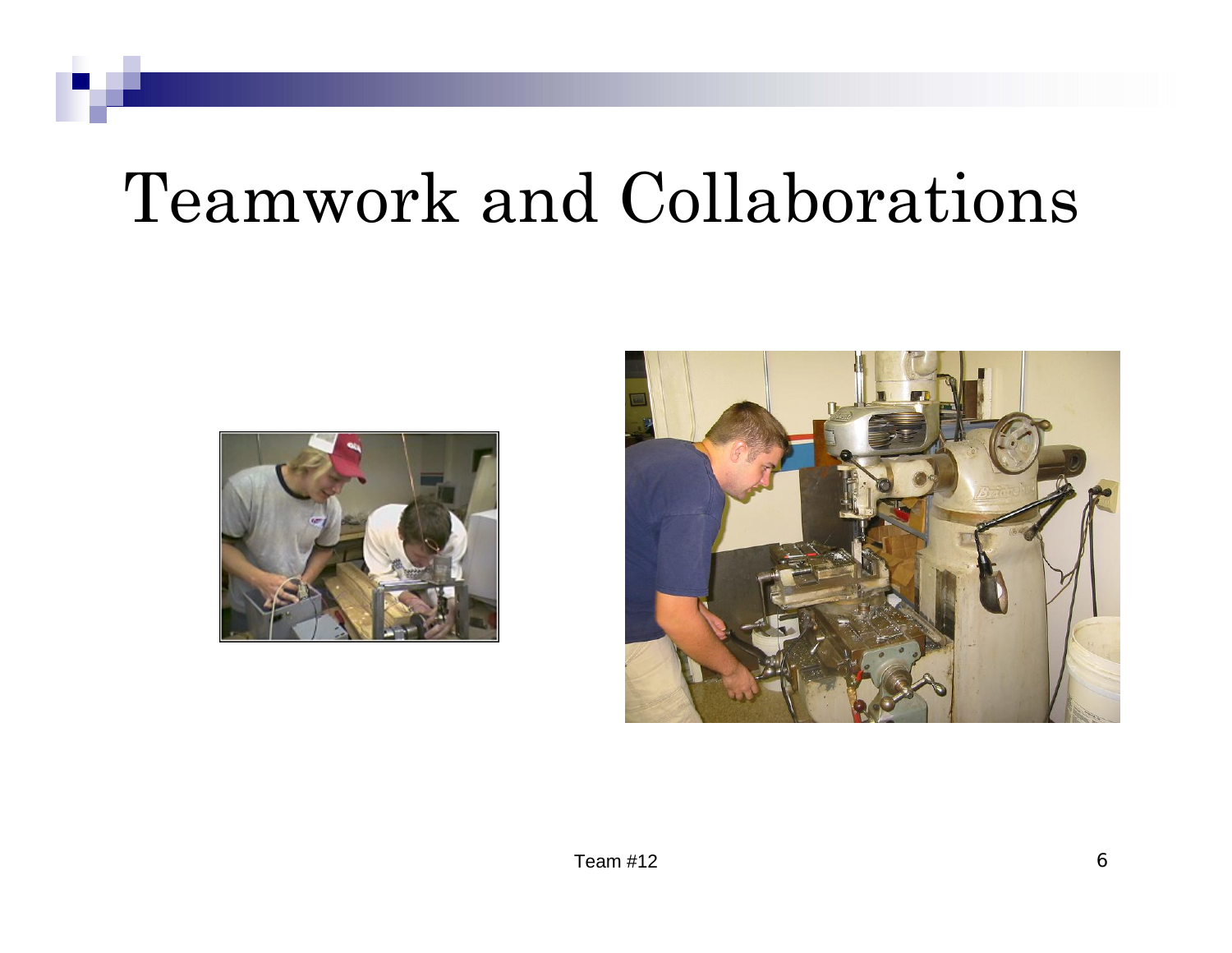#### Teamwork and Collaborations



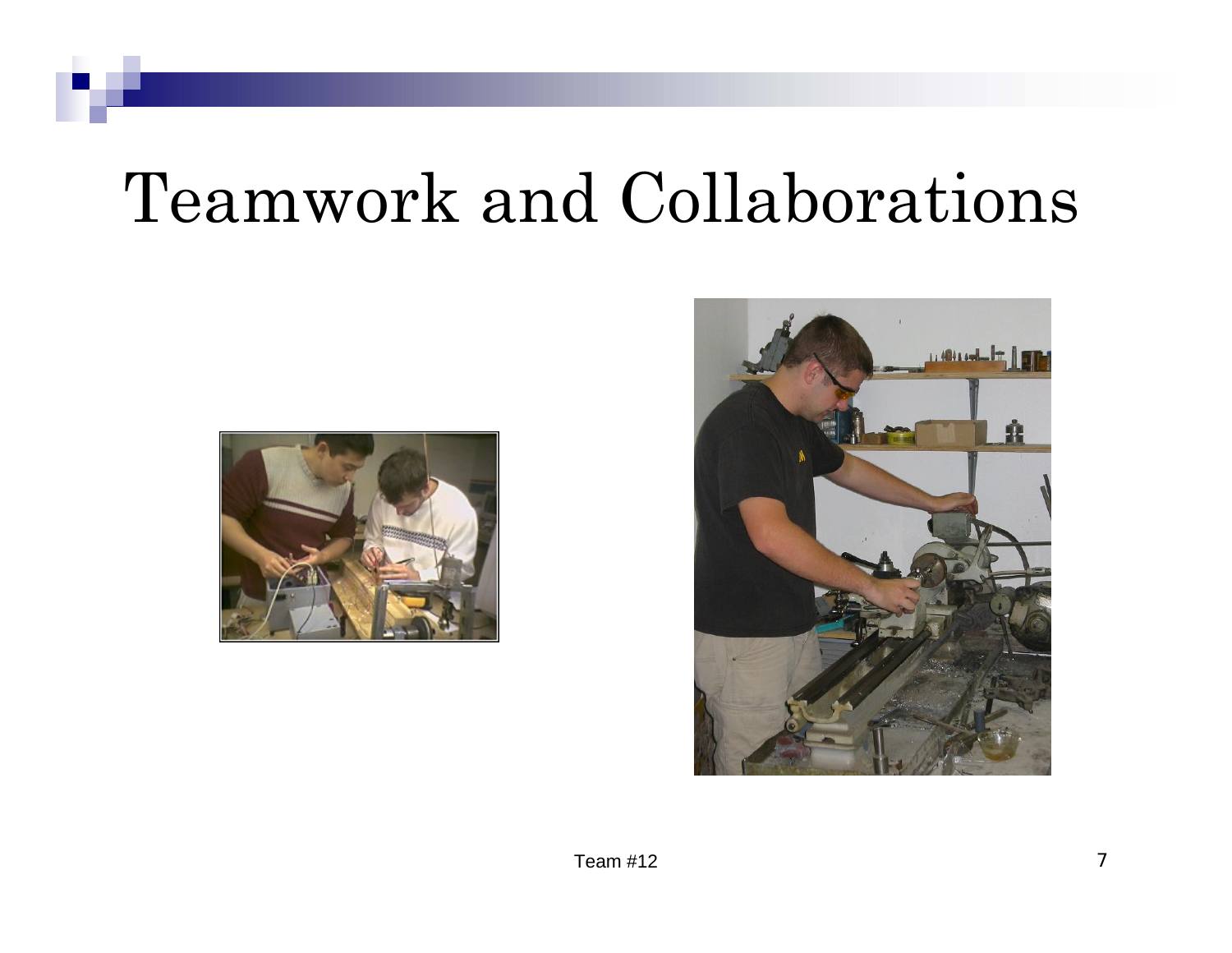#### Teamwork and Collaborations



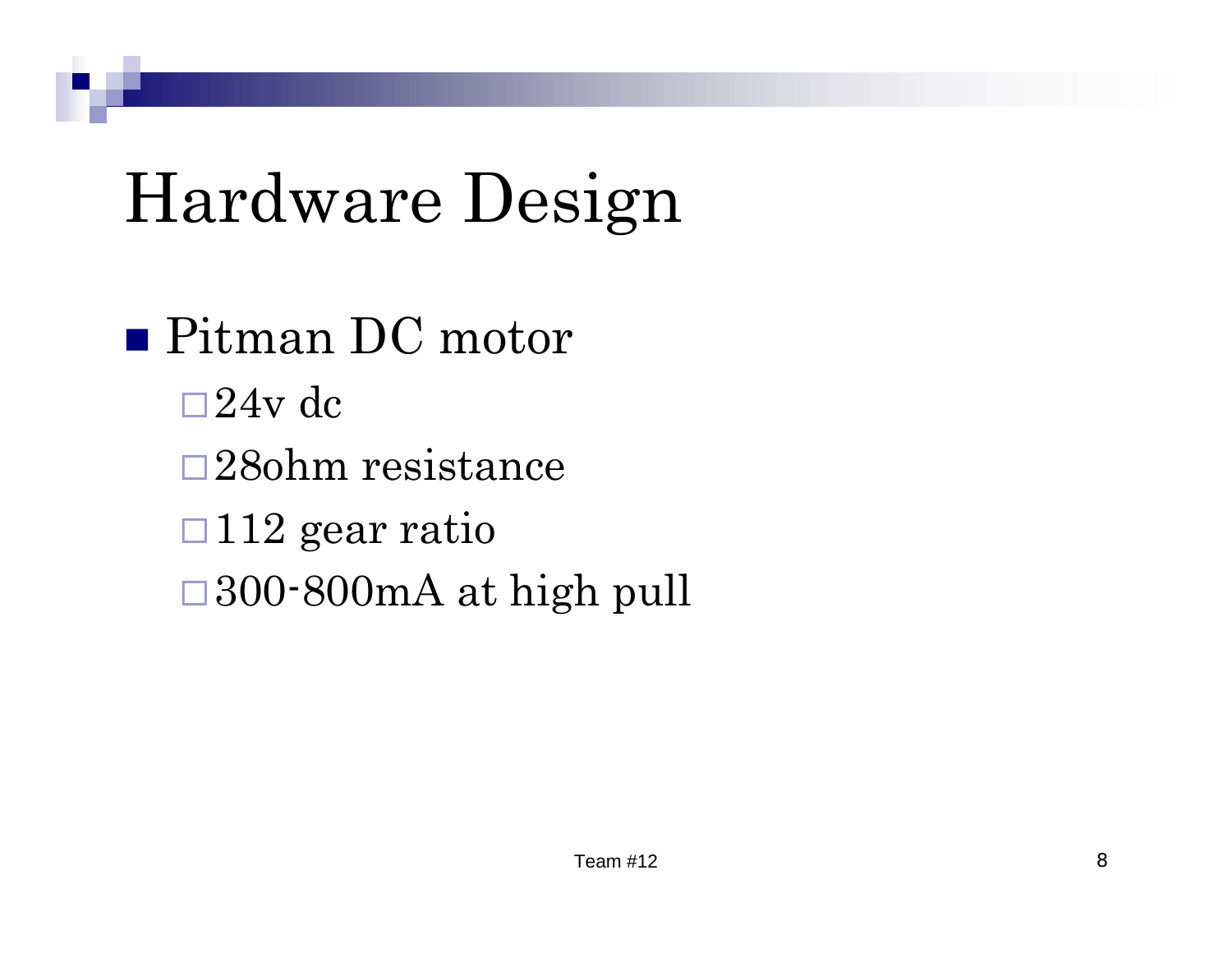■ Pitman DC motor  $\square$ 24v dc 28ohm resistance $\Box$  112 gear ratio 300-800mA at high pull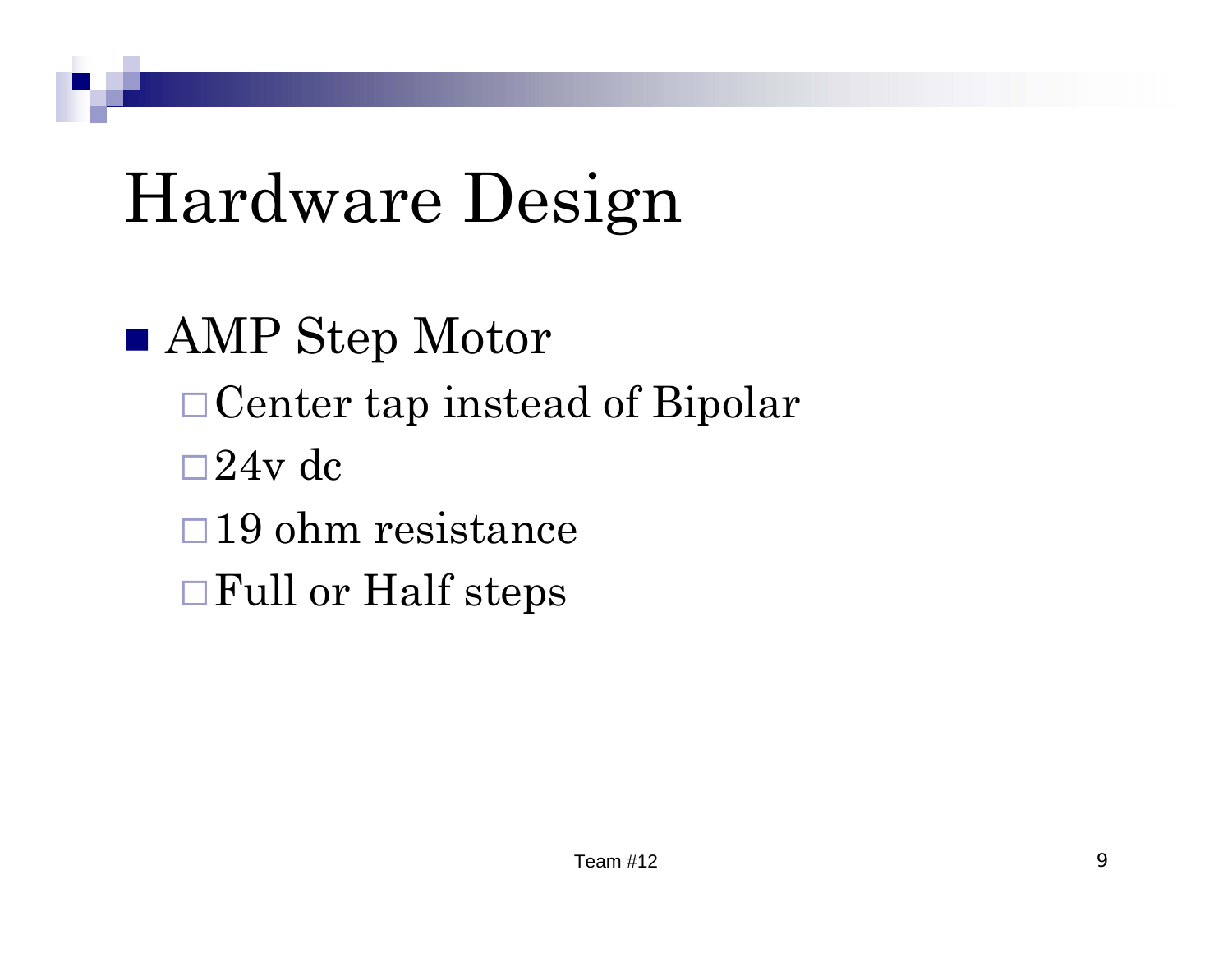AMP Step Motor □ Center tap instead of Bipolar  $\square$ 24v dc 19 ohm resistance**□ Full or Half steps**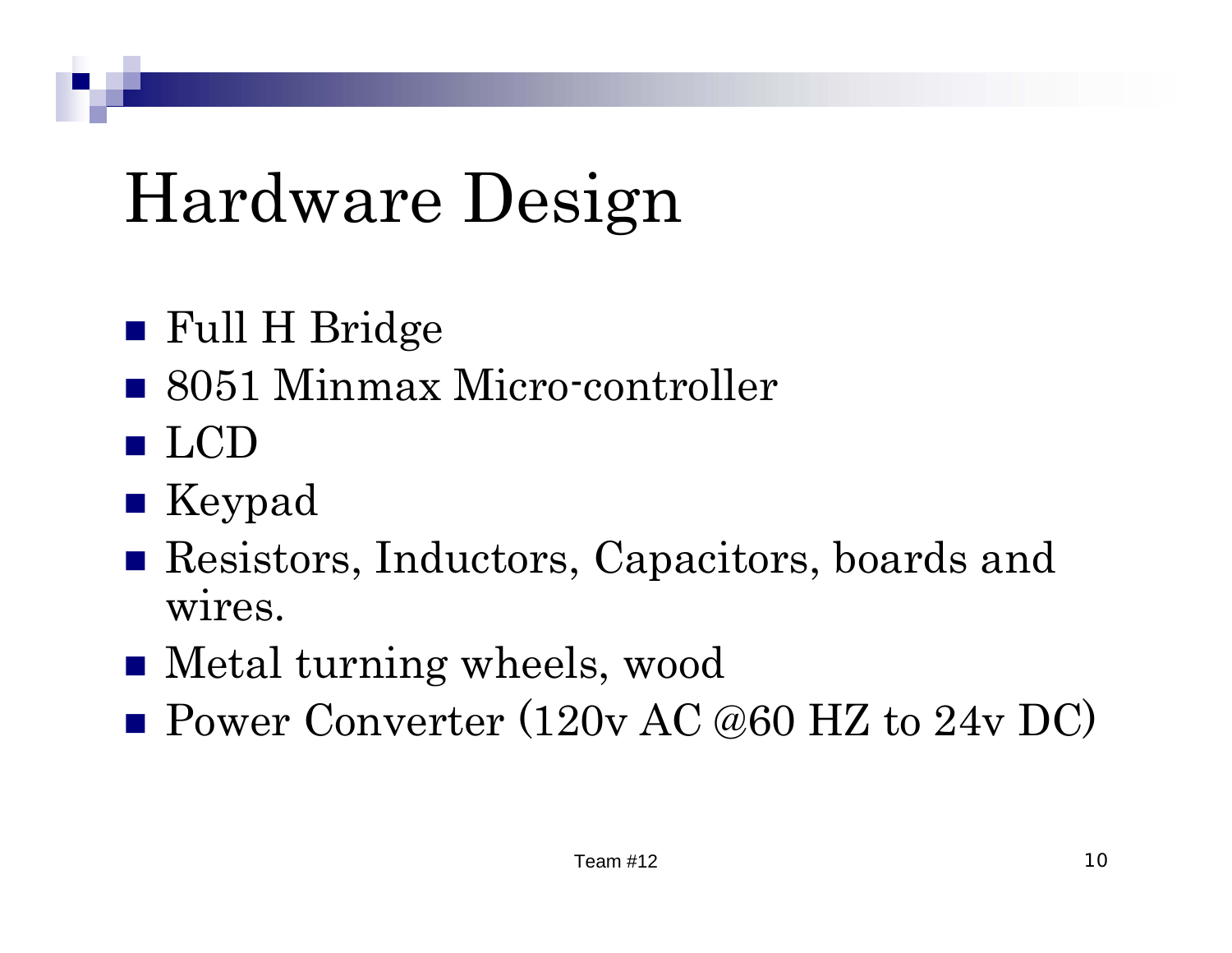- Full H Bridge
- 8051 Minmax Micro-controller
- $\blacksquare$  LCD
- Keypad
- Resistors, Inductors, Capacitors, boards and wires.
- Metal turning wheels, wood
- Power Converter (120v AC @60 HZ to 24v DC)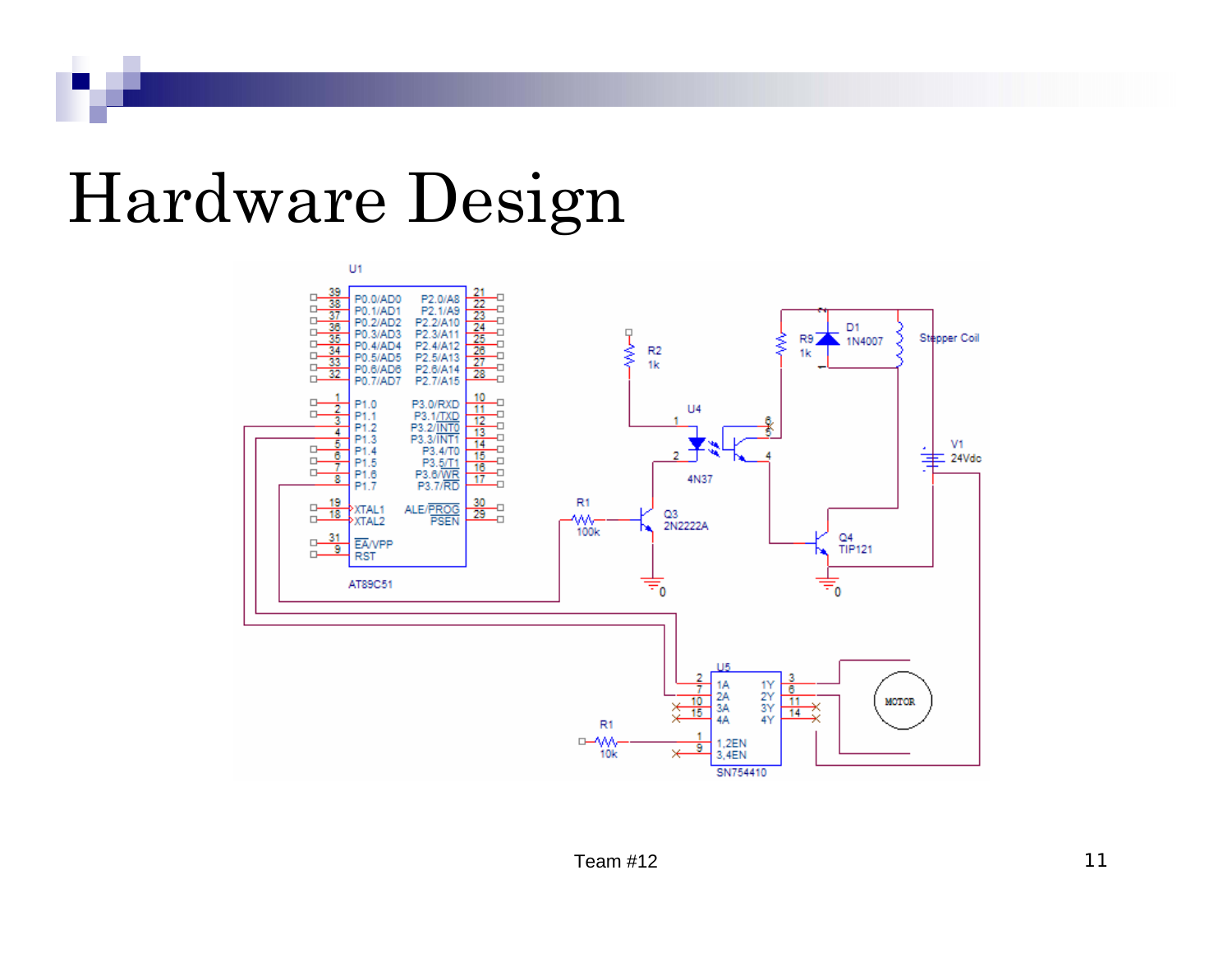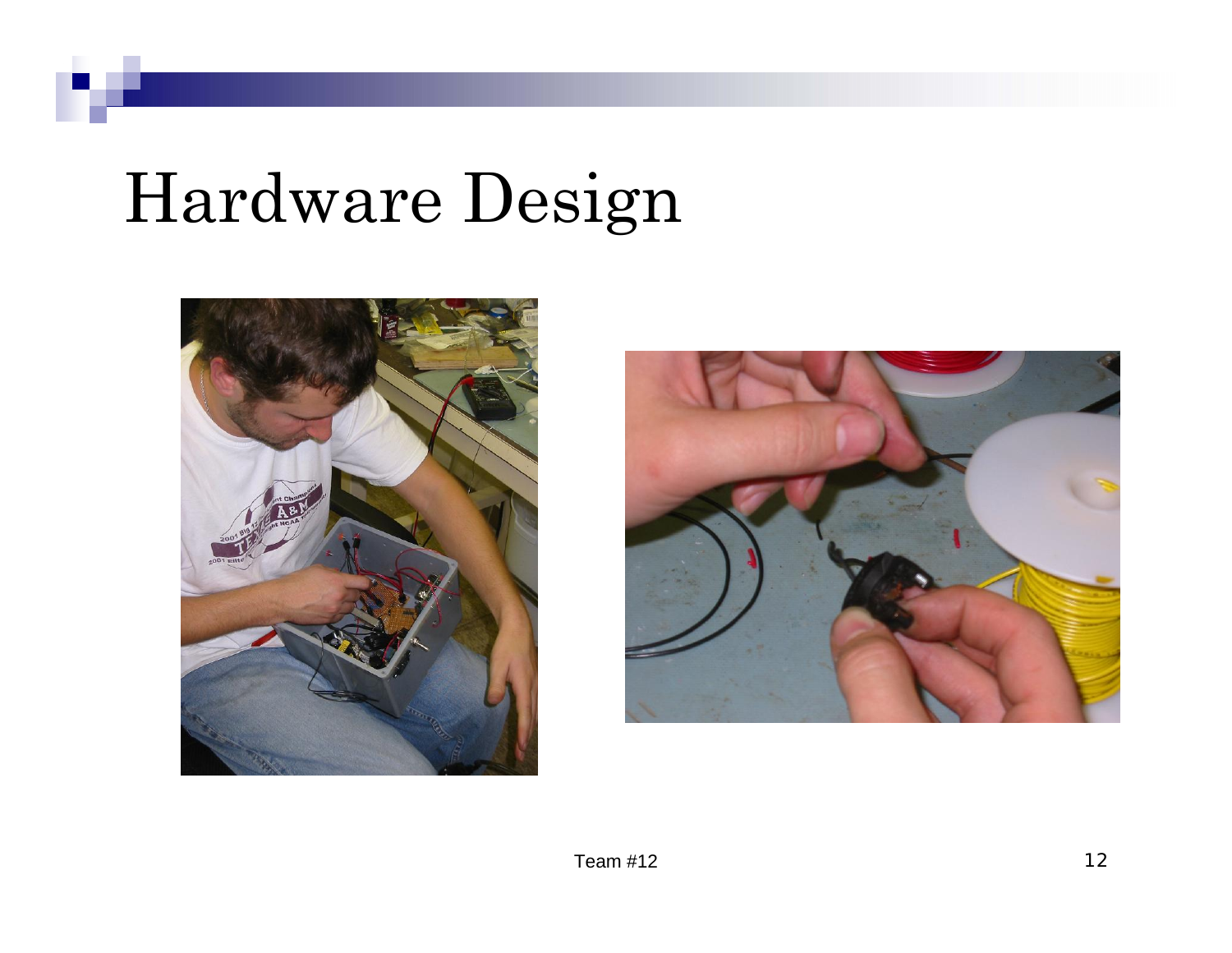

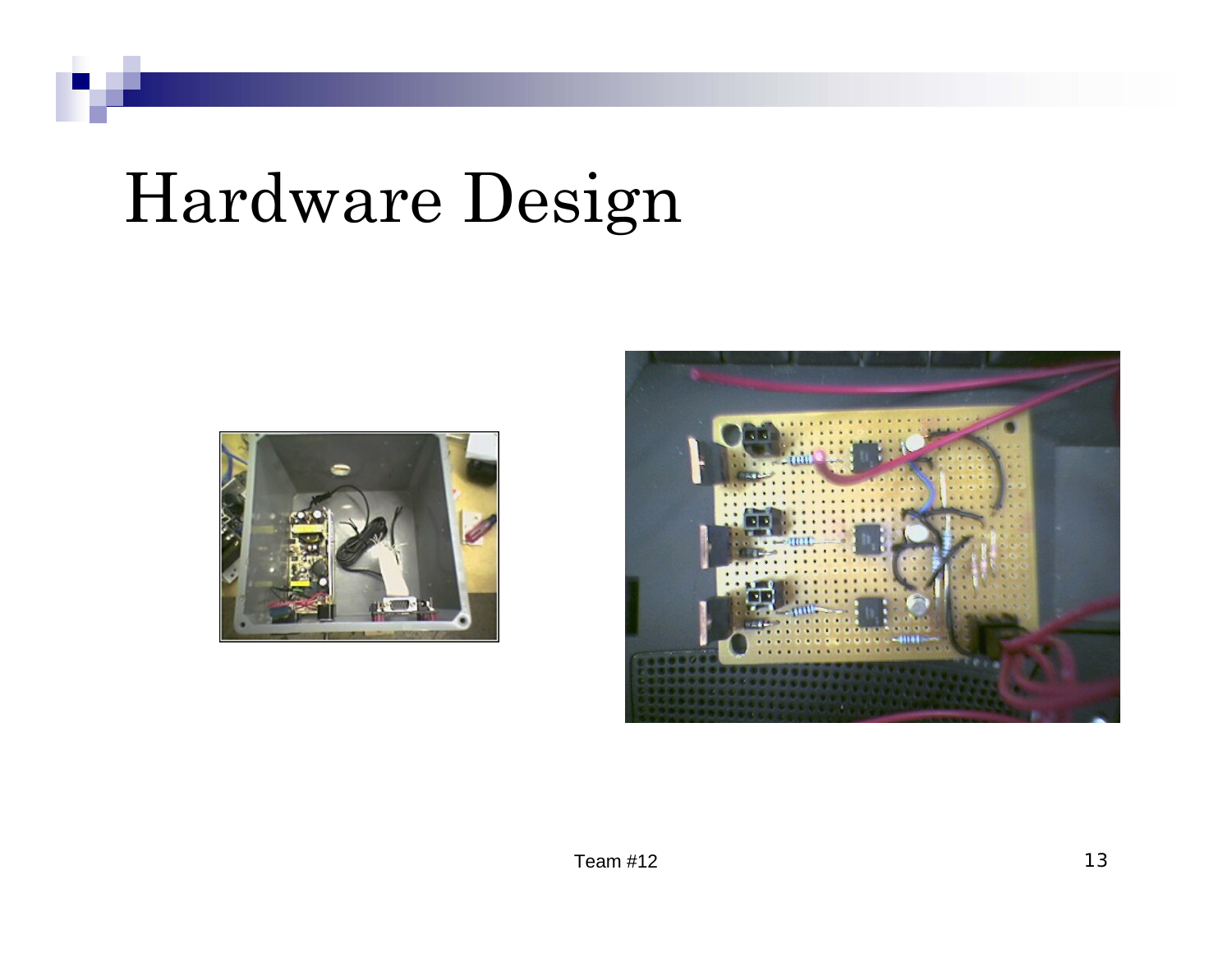

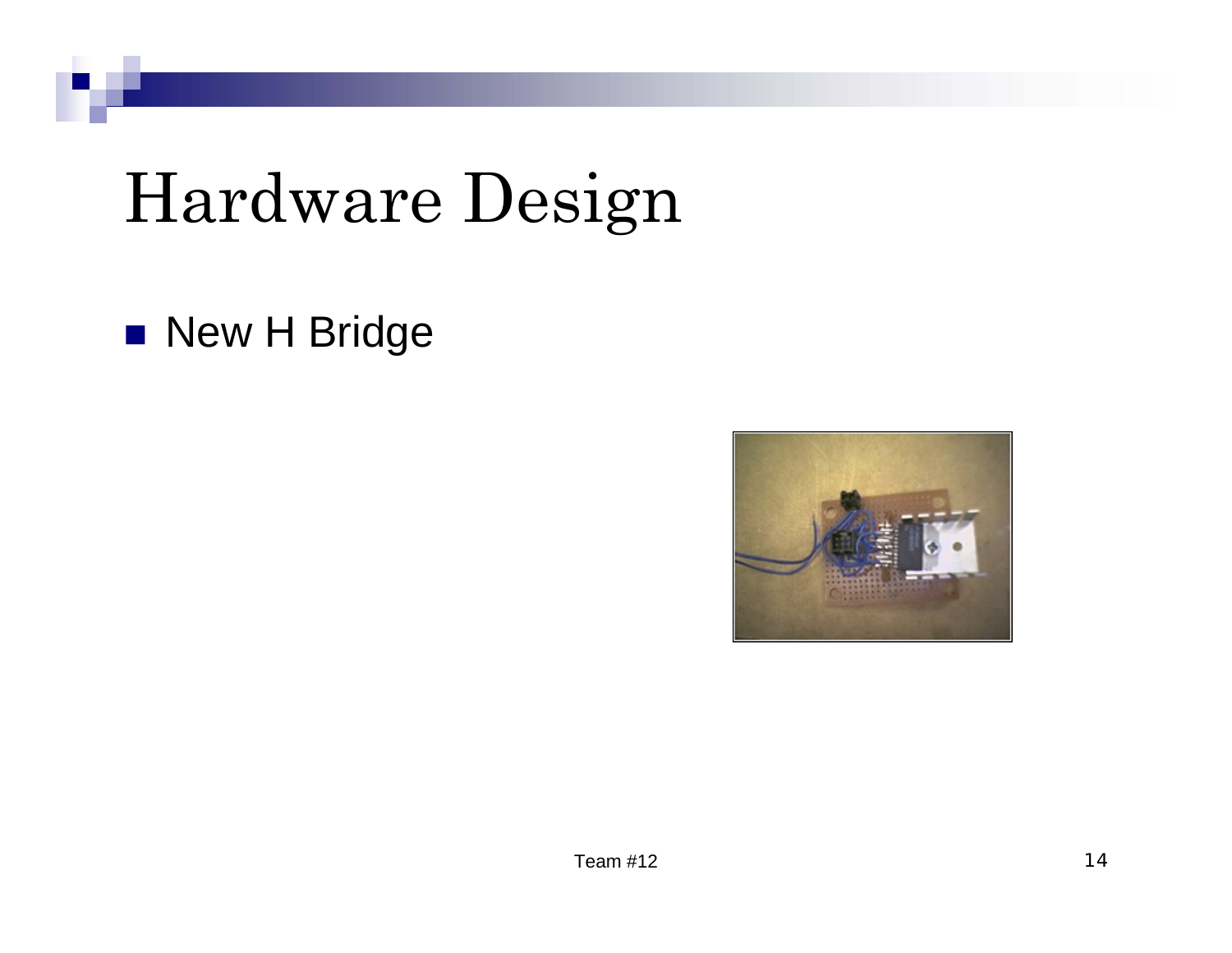■ New H Bridge

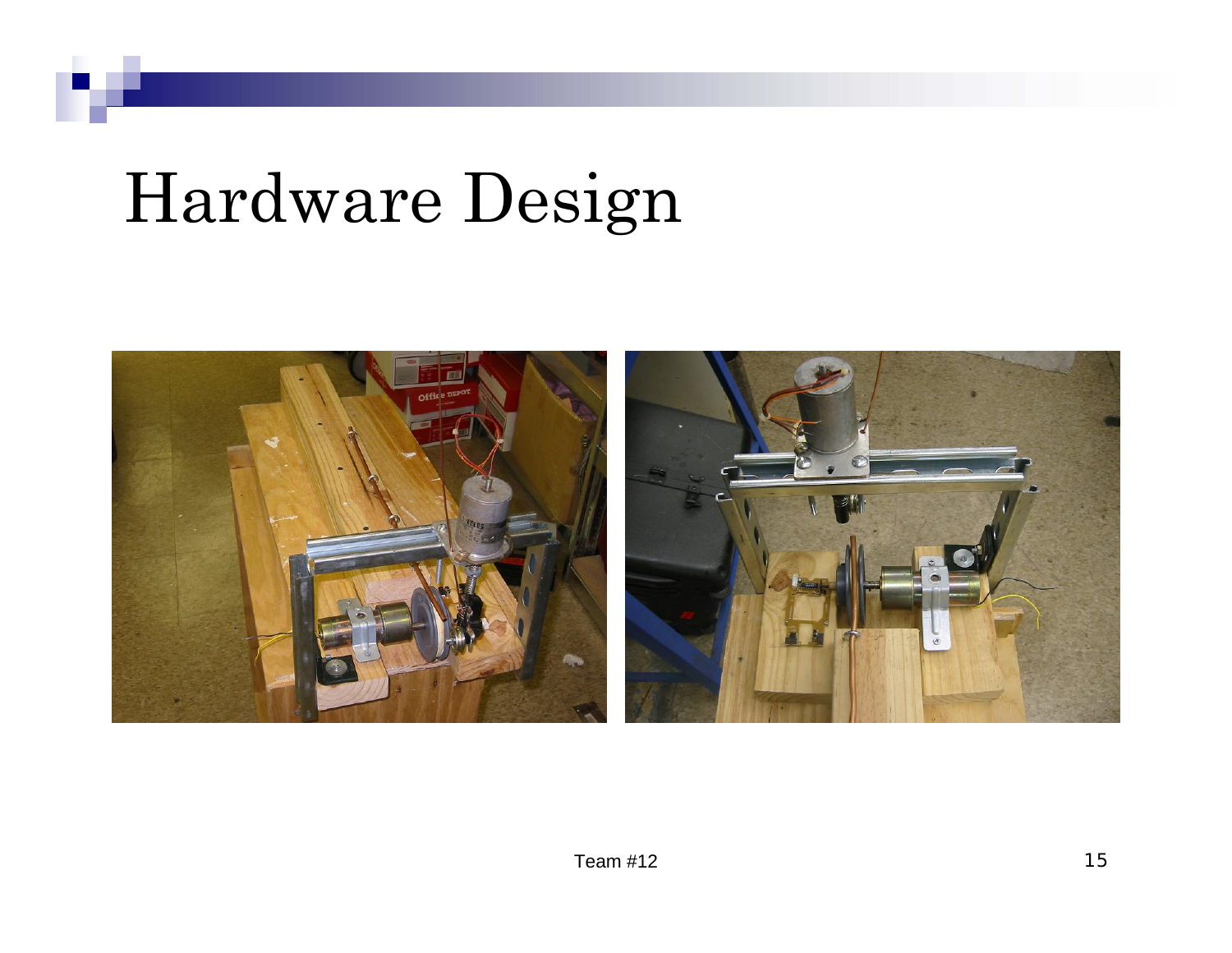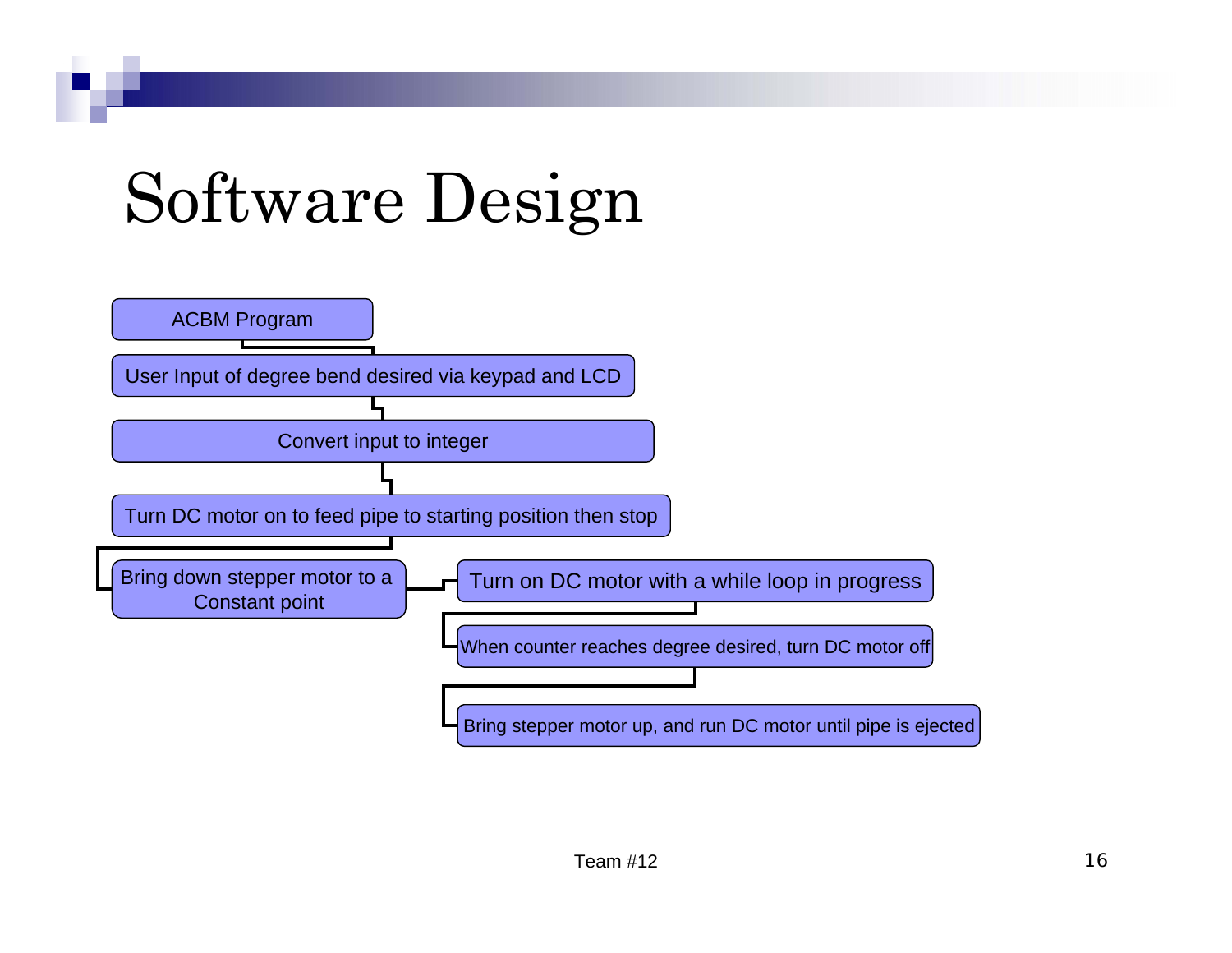# Software Design

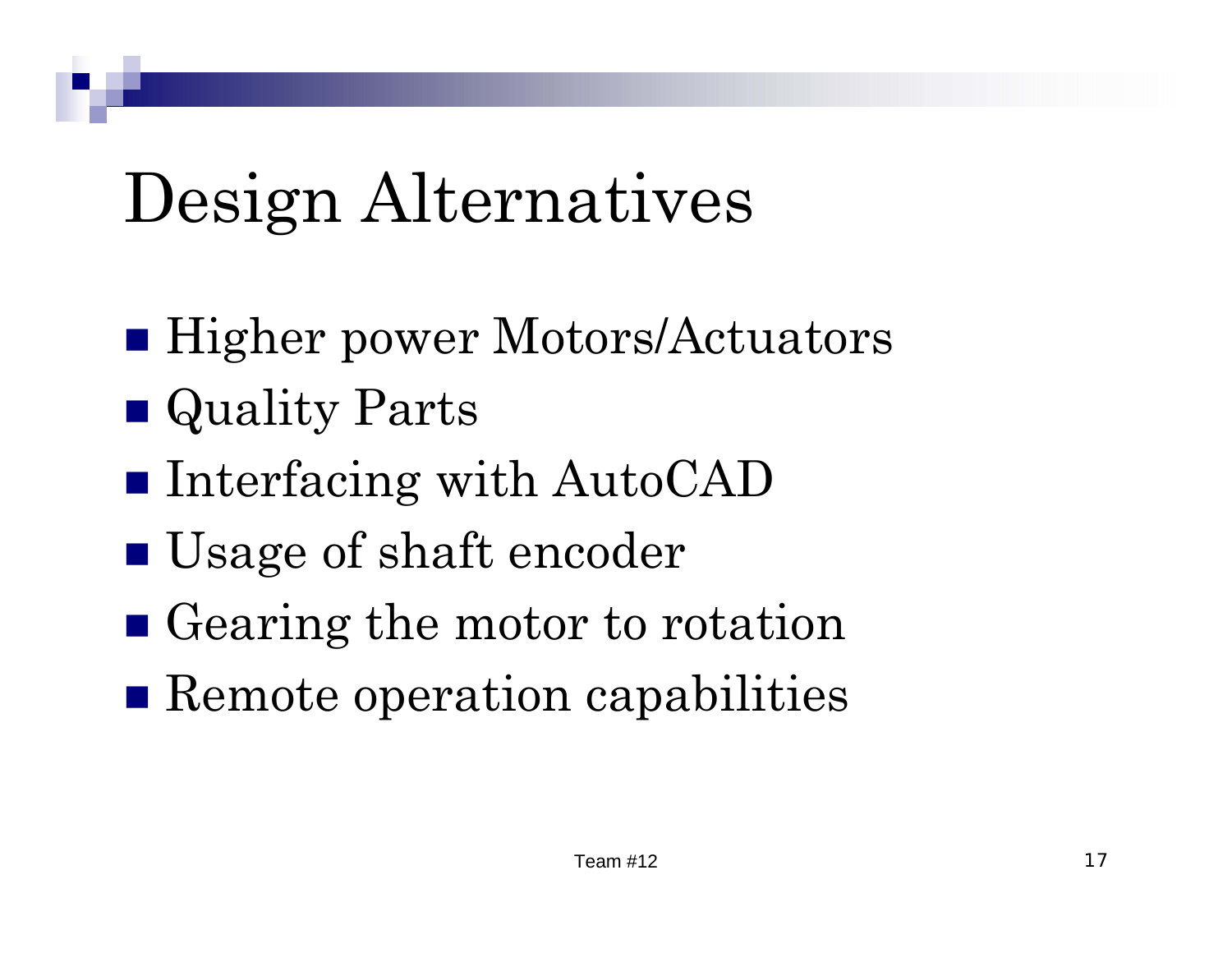# Design Alternatives

- Higher power Motors/Actuators
- Quality Parts
- Interfacing with AutoCAD
- Usage of shaft encoder
- Gearing the motor to rotation
- **Remote operation capabilities**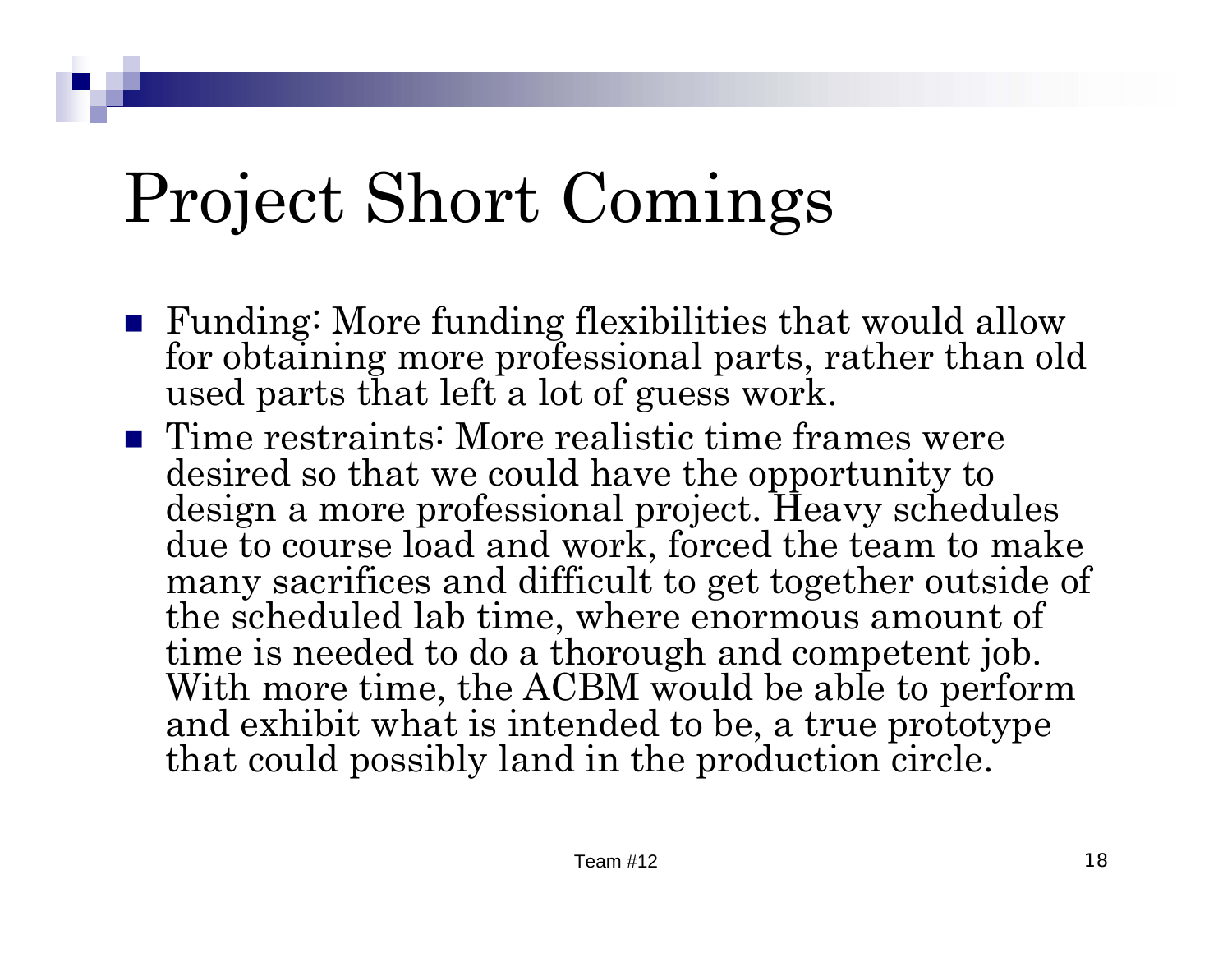# Project Short Comings

- Funding: More funding flexibilities that would allow for obtaining more professional parts, rather than old used parts that left a lot of guess work.
- **Time restraints: More realistic time frames were** desired so that we could have the opportunity to design a more professional project. Heavy schedules due to course load and work, forced the team to make many sacrifices and difficult to get together outside of the scheduled lab time, where enormous amount of time is needed to do a thorough and competent job. With more time, the ACBM would be able to perform and exhibit what is intended to be, a true prototype that could possibly land in the production circle.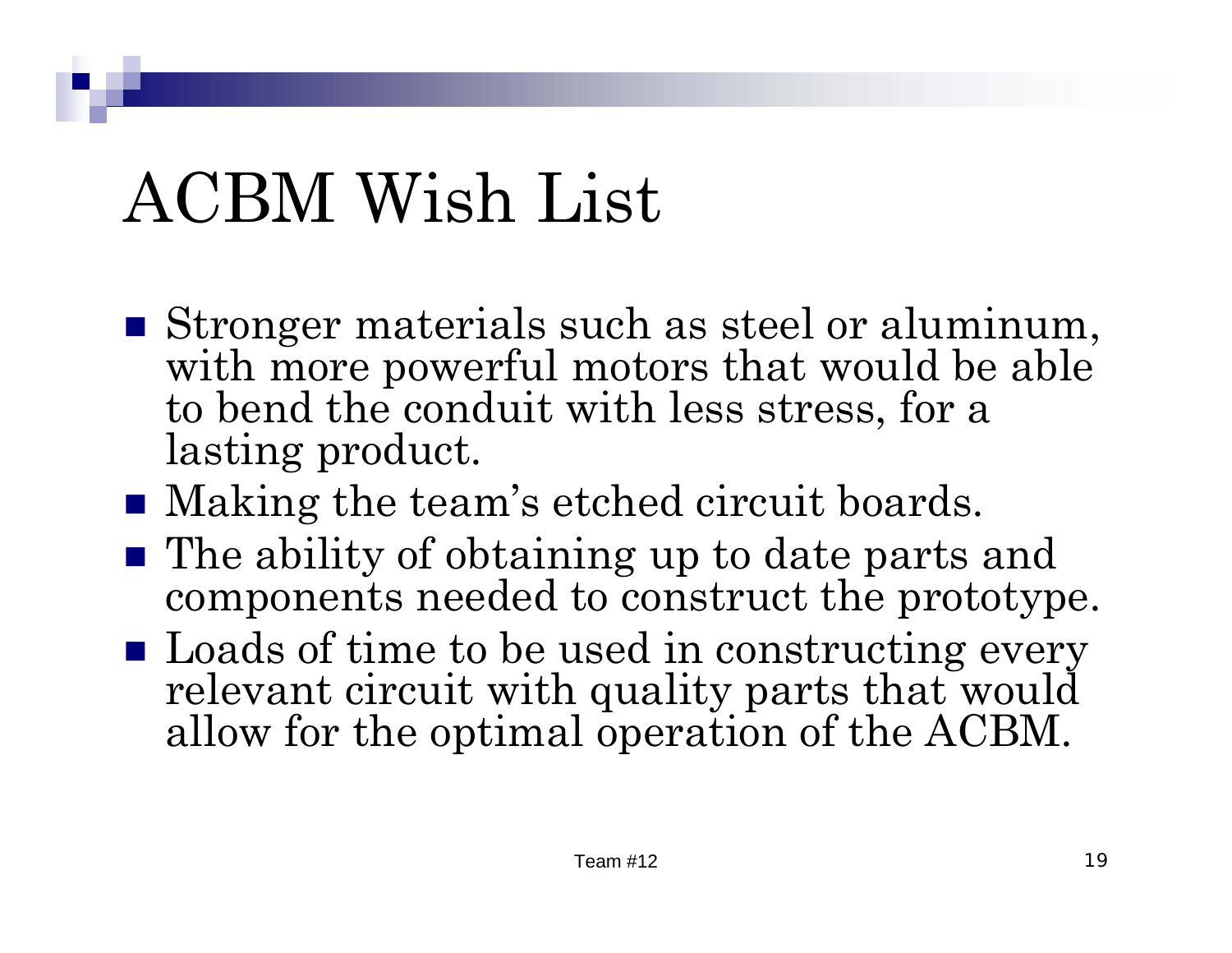# ACBM Wish List

- Stronger materials such as steel or aluminum, with more powerful motors that would be able to bend the conduit with less stress, for a lasting product.
- Making the team's etched circuit boards.
- The ability of obtaining up to date parts and components needed to construct the prototype.
- **Loads of time to be used in constructing every** relevant circuit with quality parts that would allow for the optimal operation of the ACBM.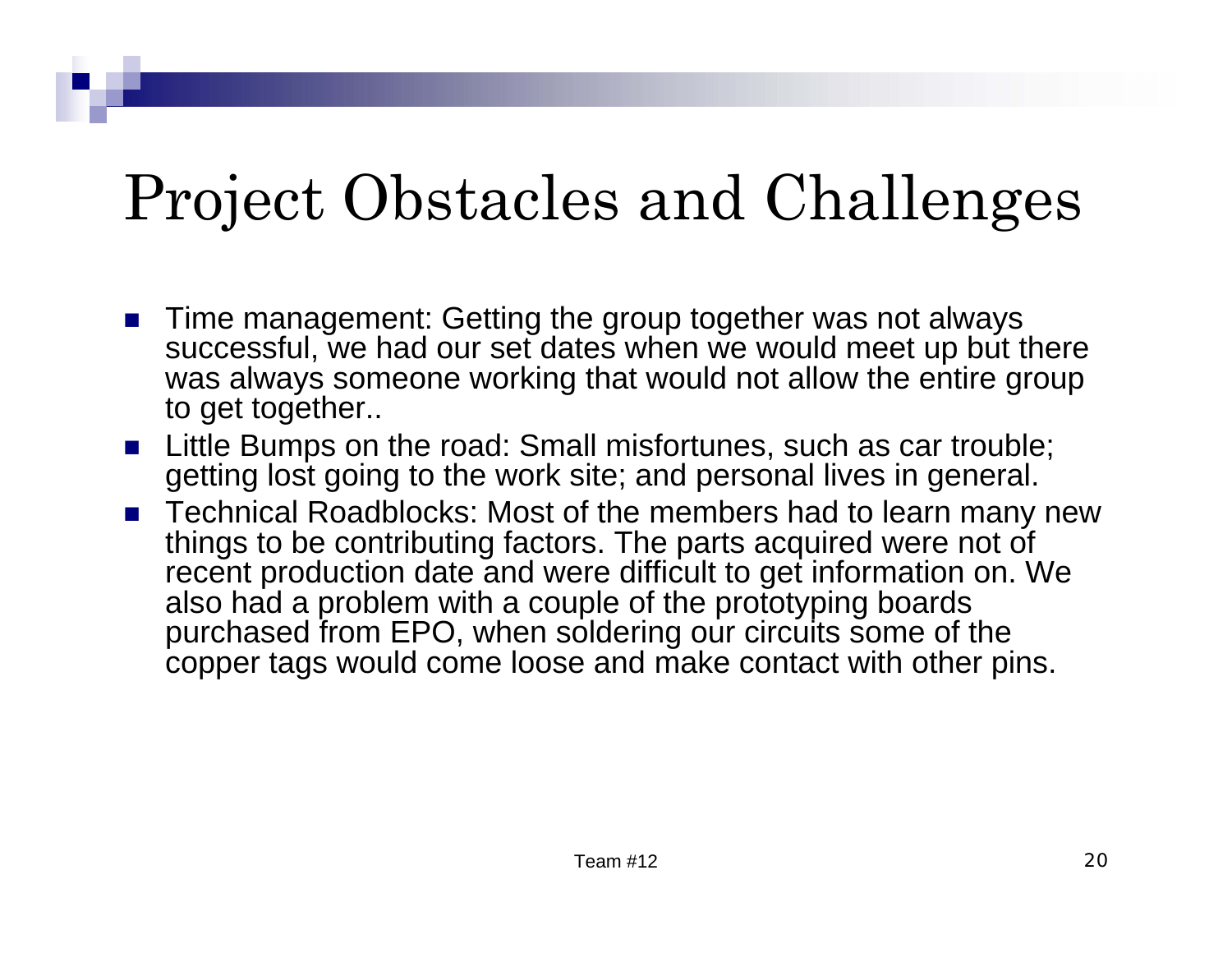#### Project Obstacles and Challenges

- **Time management: Getting the group together was not always** successful, we had our set dates when we would meet up but there was always someone working that would not allow the entire group to get together..
- **Little Bumps on the road: Small misfortunes, such as car trouble;** getting lost going to the work site; and personal lives in general.
- Technical Roadblocks: Most of the members had to learn many new things to be contributing factors. The parts acquired were not of recent production date and were difficult to get information on. We also had a problem with a couple of the prototyping boards purchased from EPO, when soldering our circuits some of the copper tags would come loose and make contact with other pins.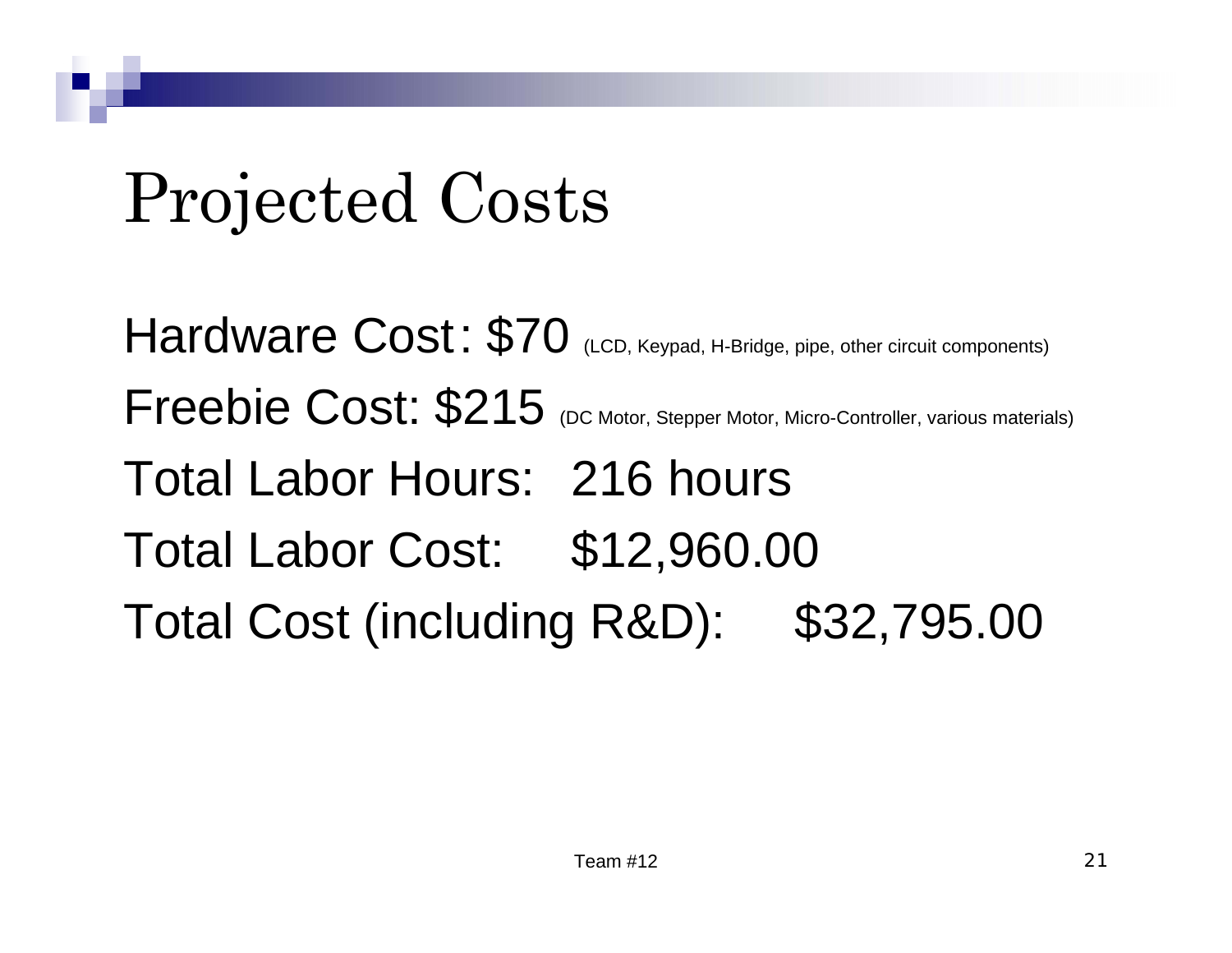# Projected Costs

Hardware Cost: \$70 (LCD, Keypad, H-Bridge, pipe, other circuit components) Freebie Cost: \$215 (DC Motor, Stepper Motor, Micro-Controller, various materials) Total Labor Hours: 216 hours Total Labor Cost: \$12,960.00 Total Cost (including R&D): \$32,795.00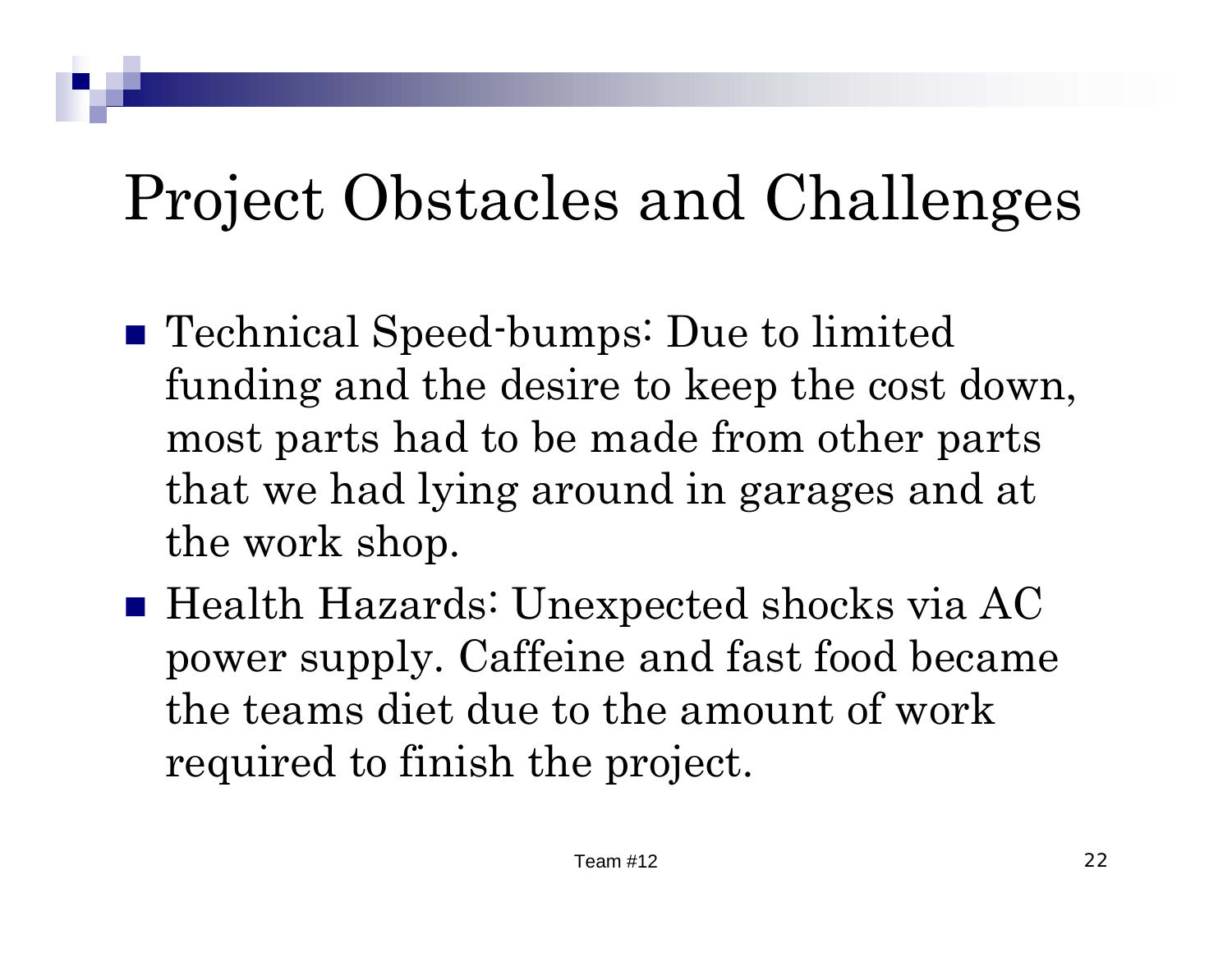#### Project Obstacles and Challenges

- Technical Speed-bumps: Due to limited funding and the desire to keep the cost down, most parts had to be made from other parts that we had lying around in garages and at the work shop.
- Health Hazards: Unexpected shocks via AC power supply. Caffeine and fast food became the teams diet due to the amount of work required to finish the project.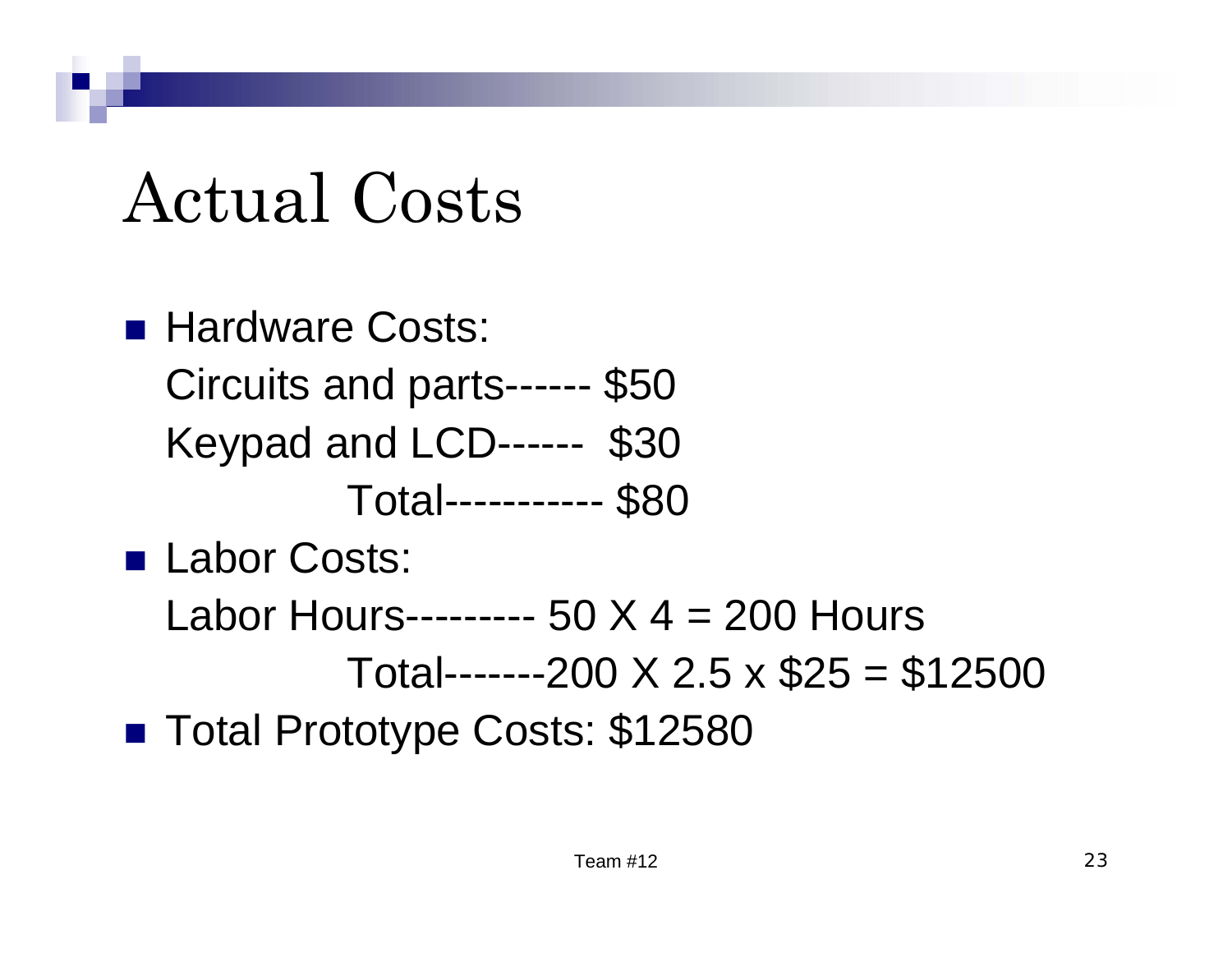#### Actual Costs

**Hardware Costs:** Circuits and parts------ \$50 Keypad and LCD------ \$30 Total----------- \$80 ■ Labor Costs: Labor Hours--------- 50  $X$  4 = 200 Hours

Total-------200  $X$  2.5  $x$  \$25 = \$12500

■ Total Prototype Costs: \$12580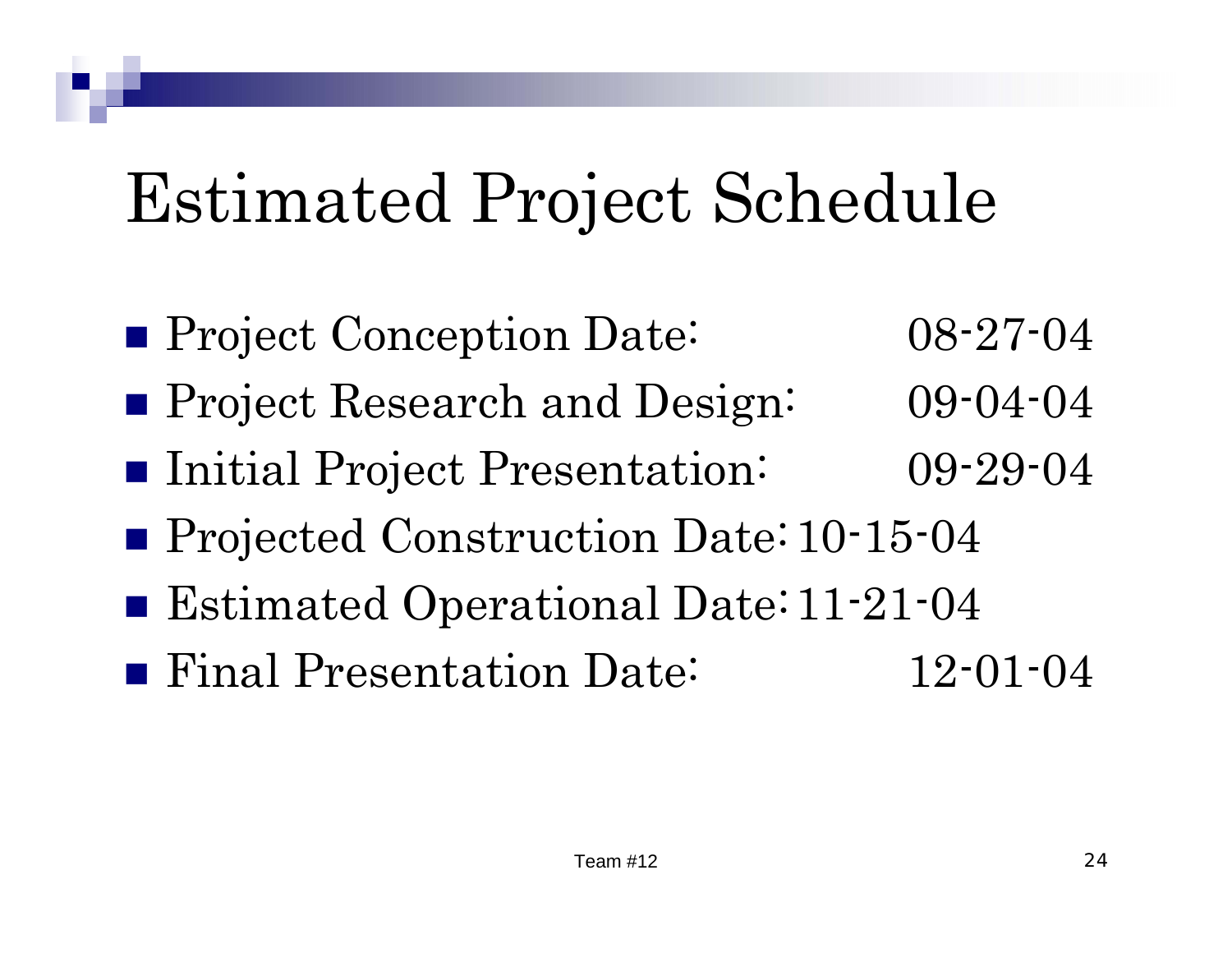# Estimated Project Schedule

- Project Conception Date: 08-27-04 **Project Research and Design:** 09-04-04 ■ Initial Project Presentation: 09-29-04 ■ Projected Construction Date: 10-15-04 ■ Estimated Operational Date: 11-21-04
- Final Presentation Date: 12-01-04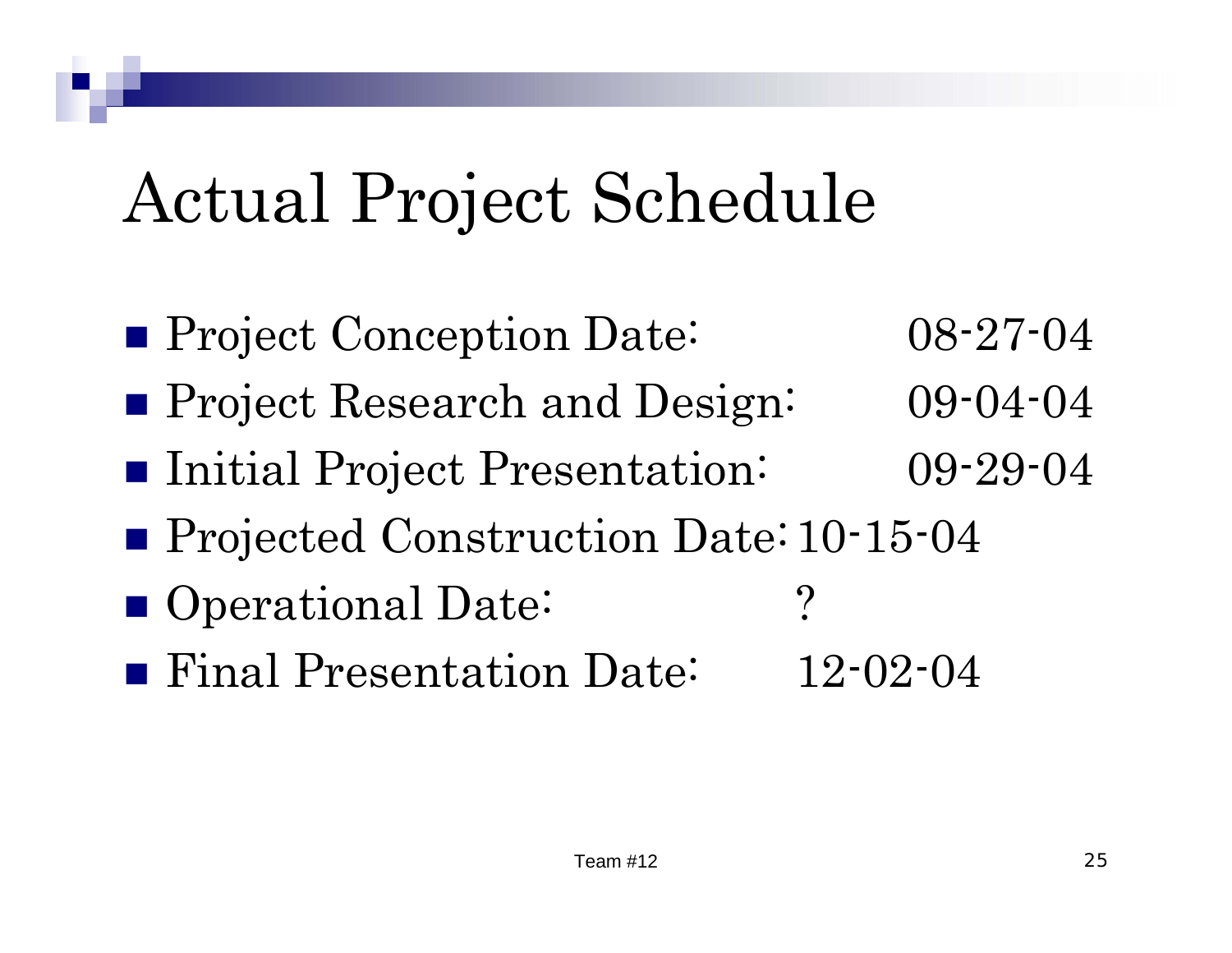## Actual Project Schedule

- Project Conception Date: 08-27-04 **Project Research and Design:** 09-04-04 ■ Initial Project Presentation: 09-29-04 ■ Projected Construction Date: 10-15-04 ■ Operational Date: ?
- Final Presentation Date: 12-02-04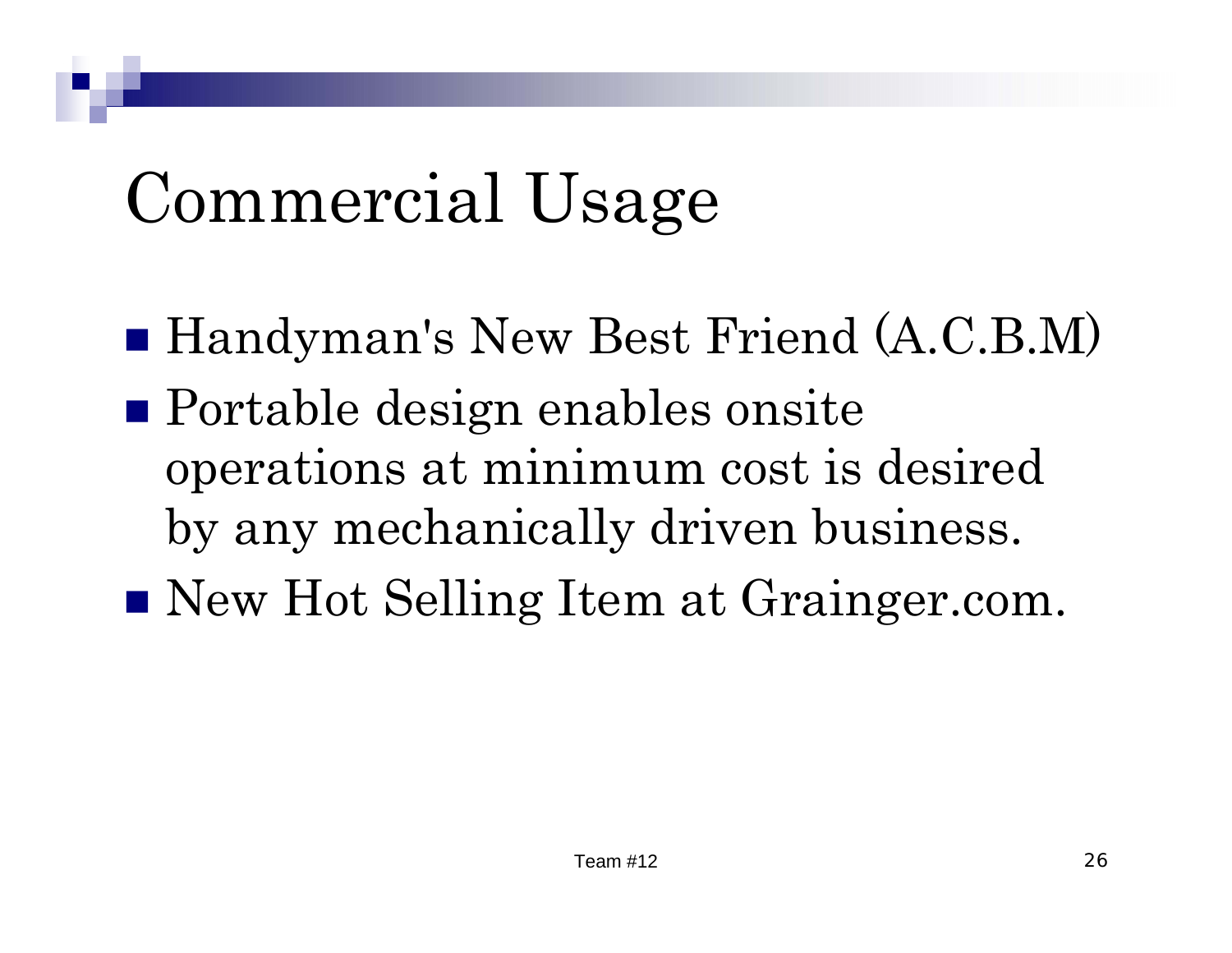# Commercial Usage

- Handyman's New Best Friend (A.C.B.M)
- Portable design enables onsite operations at minimum cost is desired by any mechanically driven business.
- New Hot Selling Item at Grainger.com.